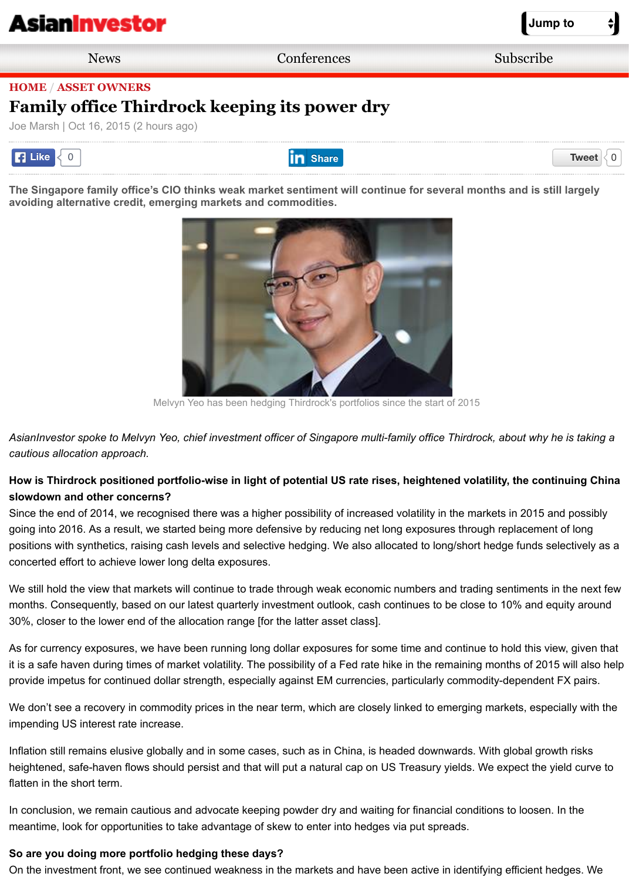[The Singapore family office's](http://m.asianinvestor.net/Default.aspx) CIO thinks weak market sentiment will continue for several months and is st **avoiding alternative credit, emerging markets and commodities.**



Melvyn Yeo has been hedging Thirdrock's portfolios since the start of 2015

AsianInvestor spoke to Melvyn Yeo, chief investment officer of Singapore multi-family office Thirdrock, about why *cautious allocation approach.*

## How is Thirdrock positioned portfolio-wise in light of potential US rate rises, heightened volatility, the con **slowdown and other concerns?**

Since the end of 2014, we recognised there was a higher possibility of increased volatility in the markets in 2015 a going into 2016. As a result, we started being more defensive by reducing net long exposures through replacemer positions with synthetics, raising cash levels and selective hedging. We also allocated to long/short hedge funds s concerted effort to achieve lower long delta exposures.

We still hold the view that markets will continue to trade through weak economic numbers and trading sentiments months. Consequently, based on our latest quarterly investment outlook, cash continues to be close to 10% and e 30%, closer to the lower end of the allocation range [for the latter asset class].

As for currency exposures, we have been running long dollar exposures for some time and continue to hold this vi it is a safe haven during times of market volatility. The possibility of a Fed rate hike in the remaining months of 201 provide impetus for continued dollar strength, especially against EM currencies, particularly commodity-dependen

We don't see a recovery in commodity prices in the near term, which are closely linked to emerging markets, espe impending US interest rate increase.

Inflation still remains elusive globally and in some cases, such as in China, is headed downwards. With global gro heightened, safe-haven flows should persist and that will put a natural cap on US Treasury yields. We expect the flatten in the short term.

In conclusion, we remain cautious and advocate keeping powder dry and waiting for financial conditions to loosen meantime, look for opportunities to take advantage of skew to enter into hedges via put spreads.

## **So are you doing more portfolio hedging these days?**

On the investment front, we see continued weakness in the markets and have been active in identifying efficient h